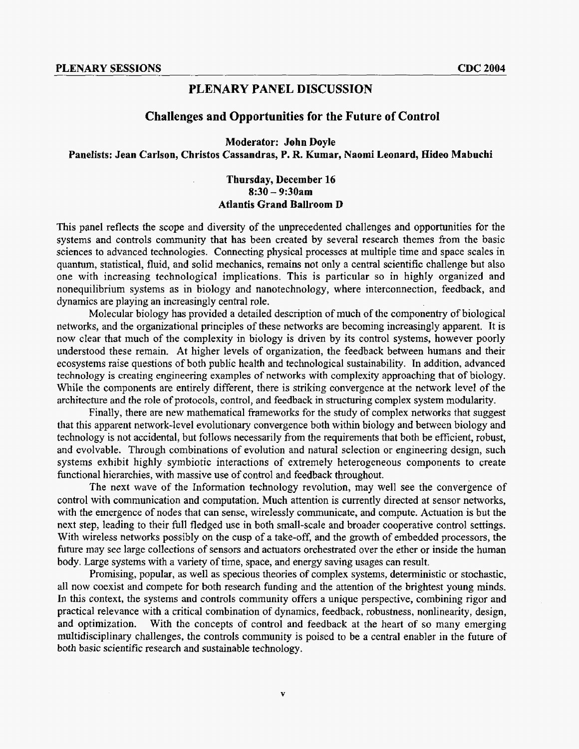## **PLENARY PANEL DISCUSSION**

## **Challenges and Opportunities for the Future of Control**

**Moderator: John Doyle Panelists: Jean Carlson, Christos Cassandras, P. R. Kumar, Naomi Leonard, Hideo Mabuchi** 

## **Thursday, December 16 8:30** - **9:30am Atlantis Grand Ballroom D**

This panel reflects the scope and diversity of the unprecedented challenges and opportunities for the systems and controls community that has been created by several research themes from the basic sciences to advanced technologies. Connecting physical processes at multiple time and space scales in quantum, statistical, fluid, and solid mechanics, remains not only a central scientific challenge but also one with increasing technological implications. This is particular *so* in highly organized and nonequilibrium systems **as** in biology and nanotechnology, where interconnection, feedback, and dynamics are playing **an** increasingly central role.

Molecular biology has provided a detailed description of much of the componentry of biological networks, and the organizational principles of these networks are becoming increasingly apparent. **It** is now clear that much of the complexity in biology is driven by its control systems, however poorly understood these remain. At higher levels **of** organization, the feedback between humans and their ecosystems raise questions of both public health and technological sustainability. **In** addition, advanced technology is creating engineering examples **of networks** with complexity approaching that of biology. While the components are entirely different, there is striking convergence at the network level of the architecture and the role of protocols, control, and feedback in structuring complex system modularity.

Finally, there are new mathematical frameworks for the study of complex networks that suggest that this apparent network-level evolutionary convergence both within biology and between biology and technology is not accidental, but follows necessarily from the requirements that both be efficient, robust, and evolvable. Through combinations of evolution **and** natural selection or engineering design, such systems exhibit highly symbiotic interactions of extremely heterogeneous components to create functional hierarchies, with massive use of control and feedback throughout.

The next wave of **the** Information technology revolution, may well see the convergence of control with communication and computation. Much attention is currently directed at sensor networks, with the emergence of nodes that can sense, wirelessly communicate, and compute. Actuation is but the next step, leading to their Eull fledged use in both small-scale and broader cooperative control settings. With wireless networks possibly on the cusp of **a** take-off, and the growth of embedded processors, the future may see large collections of sensors and actuators orchestrated over the ether or inside the human body. Large systems with a variety of time, space, and energy saving usages can result.

Promising, popular, **as** well **as** specious theories **of** complex systems, deterministic or stochastic, all now coexist and compete for both research funding **and** the attention of the brightest young minds. In this context, the systems and controls community **offers a** unique perspective, combining rigor and practical relevance with a critical combination **of** dynamics, feedback, robustness, nonlinearity, design, and optimization. With the concepts **of** control and feedback at the heart **of** so many emerging multidisciplinary challenges, **the** controls community is poised to be a central enabler in the future of both basic scientific research and sustainable technology.